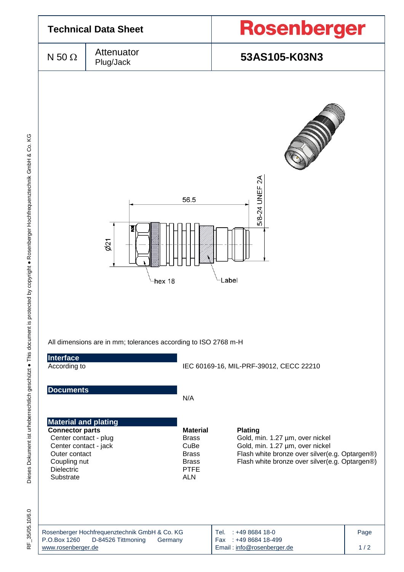

35/05.10/6.0 RF\_35/05.10/6.0 눈